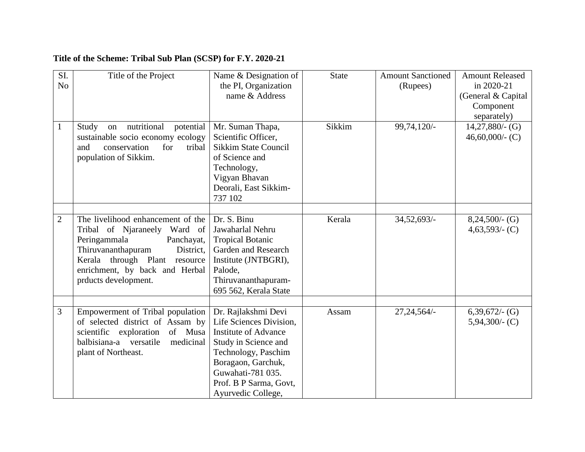## **Title of the Scheme: Tribal Sub Plan (SCSP) for F.Y. 2020-21**

| SI.<br>N <sub>o</sub> | Title of the Project                                                                                                                                                                                                          | Name & Designation of<br>the PI, Organization<br>name & Address                                                                                                                                                         | <b>State</b> | <b>Amount Sanctioned</b><br>(Rupees) | <b>Amount Released</b><br>in 2020-21<br>(General & Capital<br>Component<br>separately) |
|-----------------------|-------------------------------------------------------------------------------------------------------------------------------------------------------------------------------------------------------------------------------|-------------------------------------------------------------------------------------------------------------------------------------------------------------------------------------------------------------------------|--------------|--------------------------------------|----------------------------------------------------------------------------------------|
| $\mathbf{1}$          | on nutritional<br>potential<br>Study<br>sustainable socio economy ecology<br>and<br>conservation<br>for<br>tribal<br>population of Sikkim.                                                                                    | Mr. Suman Thapa,<br>Scientific Officer,<br><b>Sikkim State Council</b><br>of Science and<br>Technology,<br>Vigyan Bhavan<br>Deorali, East Sikkim-<br>737 102                                                            | Sikkim       | 99,74,120/-                          | $14,27,880/$ - (G)<br>46,60,000/- $(C)$                                                |
| $\overline{2}$        | The livelihood enhancement of the<br>Tribal of Njaraneely Ward of<br>Peringammala<br>Panchayat,<br>Thiruvananthapuram<br>District,<br>Kerala through Plant resource<br>enrichment, by back and Herbal<br>prducts development. | Dr. S. Binu<br>Jawaharlal Nehru<br><b>Tropical Botanic</b><br>Garden and Research<br>Institute (JNTBGRI),<br>Palode,<br>Thiruvananthapuram-<br>695 562, Kerala State                                                    | Kerala       | $34,52,693/$ -                       | $8,24,500/$ - (G)<br>$4,63,593/$ - (C)                                                 |
| 3                     | Empowerment of Tribal population<br>of selected district of Assam by<br>scientific exploration<br>of Musa<br>balbisiana-a<br>versatile<br>medicinal<br>plant of Northeast.                                                    | Dr. Rajlakshmi Devi<br>Life Sciences Division,<br><b>Institute of Advance</b><br>Study in Science and<br>Technology, Paschim<br>Boragaon, Garchuk,<br>Guwahati-781 035.<br>Prof. B P Sarma, Govt,<br>Ayurvedic College, | Assam        | $27,24,564/-$                        | $6,39,672/-(G)$<br>$5,94,300/$ - (C)                                                   |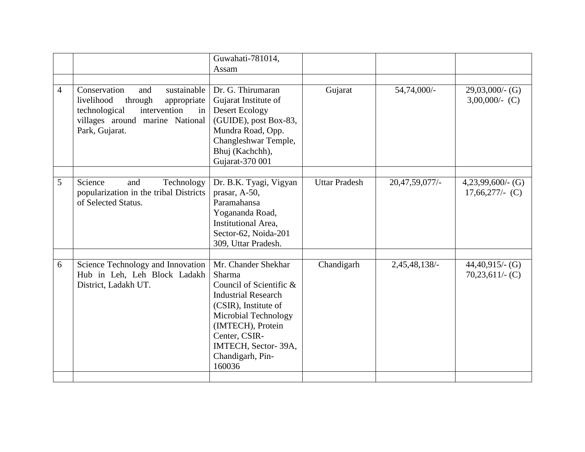|                |                                                                                                                                                                        | Guwahati-781014,<br>Assam                                                                                                                                                                                                         |                      |                |                                          |
|----------------|------------------------------------------------------------------------------------------------------------------------------------------------------------------------|-----------------------------------------------------------------------------------------------------------------------------------------------------------------------------------------------------------------------------------|----------------------|----------------|------------------------------------------|
| $\overline{4}$ | Conservation<br>sustainable<br>and<br>livelihood<br>through<br>appropriate<br>intervention<br>technological<br>in<br>villages around marine National<br>Park, Gujarat. | Dr. G. Thirumaran<br>Gujarat Institute of<br><b>Desert Ecology</b><br>(GUIDE), post Box-83,<br>Mundra Road, Opp.<br>Changleshwar Temple,<br>Bhuj (Kachchh),<br>Gujarat-370 001                                                    | Gujarat              | 54,74,000/-    | $29,03,000/$ - (G)<br>$3,00,000/(-C)$    |
| 5              | Science<br>Technology<br>and<br>popularization in the tribal Districts<br>of Selected Status.                                                                          | Dr. B.K. Tyagi, Vigyan<br>prasar, A-50,<br>Paramahansa<br>Yogananda Road,<br>Institutional Area.<br>Sector-62, Noida-201<br>309, Uttar Pradesh.                                                                                   | <b>Uttar Pradesh</b> | 20,47,59,077/- | $4,23,99,600/$ - (G)<br>$17,66,277/(-C)$ |
| 6              | Science Technology and Innovation<br>Hub in Leh, Leh Block Ladakh<br>District, Ladakh UT.                                                                              | Mr. Chander Shekhar<br>Sharma<br>Council of Scientific &<br><b>Industrial Research</b><br>(CSIR), Institute of<br>Microbial Technology<br>(IMTECH), Protein<br>Center, CSIR-<br>IMTECH, Sector-39A,<br>Chandigarh, Pin-<br>160036 | Chandigarh           | 2,45,48,138/-  | $44,40,915/$ - (G)<br>$70,23,611/$ (C)   |
|                |                                                                                                                                                                        |                                                                                                                                                                                                                                   |                      |                |                                          |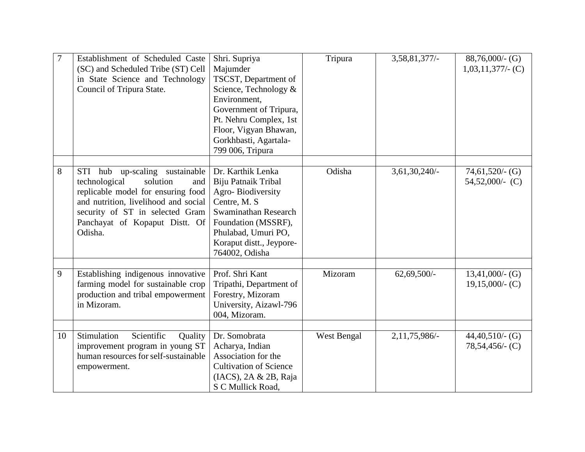| 7  | Establishment of Scheduled Caste<br>(SC) and Scheduled Tribe (ST) Cell<br>in State Science and Technology<br>Council of Tripura State.                                                                                              | Shri. Supriya<br>Majumder<br>TSCST, Department of<br>Science, Technology &<br>Environment,<br>Government of Tripura,<br>Pt. Nehru Complex, 1st<br>Floor, Vigyan Bhawan,<br>Gorkhbasti, Agartala-<br>799 006, Tripura | Tripura     | 3,58,81,377/-    | $88,76,000/$ - (G)<br>$1,03,11,377/$ - (C) |
|----|-------------------------------------------------------------------------------------------------------------------------------------------------------------------------------------------------------------------------------------|----------------------------------------------------------------------------------------------------------------------------------------------------------------------------------------------------------------------|-------------|------------------|--------------------------------------------|
| 8  | STI hub<br>up-scaling sustainable<br>technological<br>solution<br>and<br>replicable model for ensuring food<br>and nutrition, livelihood and social<br>security of ST in selected Gram<br>Panchayat of Kopaput Distt. Of<br>Odisha. | Dr. Karthik Lenka<br>Biju Patnaik Tribal<br>Agro-Biodiversity<br>Centre, M. S.<br>Swaminathan Research<br>Foundation (MSSRF),<br>Phulabad, Umuri PO,<br>Koraput distt., Jeypore-<br>764002, Odisha                   | Odisha      | $3,61,30,240/$ - | $74,61,520/$ - (G)<br>$54,52,000/(-C)$     |
| 9  | Establishing indigenous innovative<br>farming model for sustainable crop<br>production and tribal empowerment<br>in Mizoram.                                                                                                        | Prof. Shri Kant<br>Tripathi, Department of<br>Forestry, Mizoram<br>University, Aizawl-796<br>004, Mizoram.                                                                                                           | Mizoram     | $62,69,500/$ -   | $13,41,000/$ - (G)<br>$19,15,000/$ - (C)   |
| 10 | Stimulation<br>Scientific<br>Quality<br>improvement program in young ST<br>human resources for self-sustainable<br>empowerment.                                                                                                     | Dr. Somobrata<br>Acharya, Indian<br>Association for the<br><b>Cultivation of Science</b><br>(IACS), 2A & 2B, Raja<br>S C Mullick Road,                                                                               | West Bengal | 2,11,75,986/-    | $44,40,510/$ - (G)<br>$78,54,456/$ - (C)   |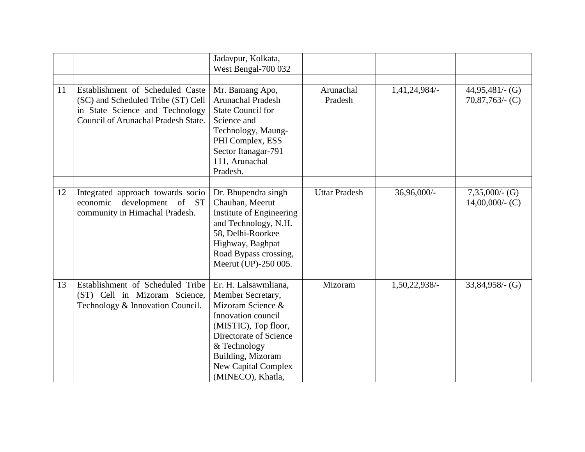|    |                                                                                                       | Jadavpur, Kolkata,<br>West Bengal-700 032                                                                                                                                                                                      |                      |               |                                         |
|----|-------------------------------------------------------------------------------------------------------|--------------------------------------------------------------------------------------------------------------------------------------------------------------------------------------------------------------------------------|----------------------|---------------|-----------------------------------------|
| 11 | Establishment of Scheduled Caste<br>(SC) and Scheduled Tribe (ST) Cell                                | Mr. Bamang Apo,<br><b>Arunachal Pradesh</b>                                                                                                                                                                                    | Arunachal<br>Pradesh | 1,41,24,984/- | $44,95,481/$ (G)<br>$70,87,763/$ - (C)  |
|    | in State Science and Technology<br>Council of Arunachal Pradesh State.                                | <b>State Council for</b><br>Science and                                                                                                                                                                                        |                      |               |                                         |
|    |                                                                                                       | Technology, Maung-<br>PHI Complex, ESS<br>Sector Itanagar-791<br>111, Arunachal<br>Pradesh.                                                                                                                                    |                      |               |                                         |
|    |                                                                                                       |                                                                                                                                                                                                                                |                      |               |                                         |
| 12 | Integrated approach towards socio<br>development of ST<br>economic<br>community in Himachal Pradesh.  | Dr. Bhupendra singh<br>Chauhan, Meerut<br>Institute of Engineering<br>and Technology, N.H.<br>58, Delhi-Roorkee<br>Highway, Baghpat<br>Road Bypass crossing,<br>Meerut (UP)-250 005.                                           | <b>Uttar Pradesh</b> | 36,96,000/-   | $7,35,000/$ - (G)<br>$14,00,000/$ - (C) |
|    |                                                                                                       |                                                                                                                                                                                                                                |                      |               |                                         |
| 13 | Establishment of Scheduled Tribe<br>(ST) Cell in Mizoram Science,<br>Technology & Innovation Council. | Er. H. Lalsawmliana,<br>Member Secretary,<br>Mizoram Science &<br>Innovation council<br>(MISTIC), Top floor,<br>Directorate of Science<br>& Technology<br>Building, Mizoram<br><b>New Capital Complex</b><br>(MINECO), Khatla, | Mizoram              | 1,50,22,938/- | $33,84,958/$ - (G)                      |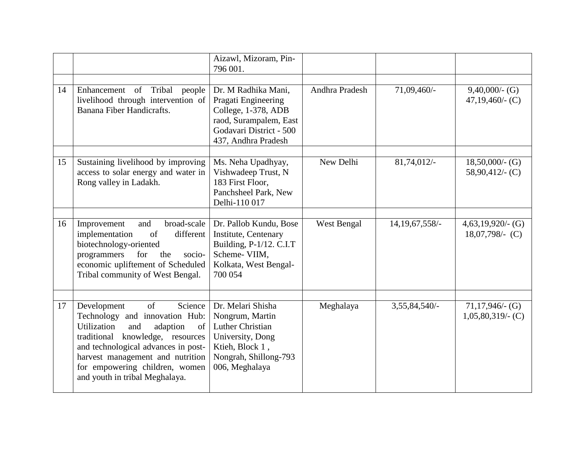|    |                                                                                                                                                                                                                                                                                                               | Aizawl, Mizoram, Pin-<br>796 001.                                                                                                             |                |                   |                                           |
|----|---------------------------------------------------------------------------------------------------------------------------------------------------------------------------------------------------------------------------------------------------------------------------------------------------------------|-----------------------------------------------------------------------------------------------------------------------------------------------|----------------|-------------------|-------------------------------------------|
| 14 | Enhancement of Tribal<br>people<br>livelihood through intervention of<br>Banana Fiber Handicrafts.                                                                                                                                                                                                            | Dr. M Radhika Mani,<br>Pragati Engineering<br>College, 1-378, ADB<br>raod, Surampalem, East<br>Godavari District - 500<br>437, Andhra Pradesh | Andhra Pradesh | 71,09,460/-       | $9,40,000/$ - (G)<br>$47,19,460/$ - (C)   |
| 15 | Sustaining livelihood by improving<br>access to solar energy and water in<br>Rong valley in Ladakh.                                                                                                                                                                                                           | Ms. Neha Upadhyay,<br>Vishwadeep Trust, N<br>183 First Floor,<br>Panchsheel Park, New<br>Delhi-110 017                                        | New Delhi      | 81,74,012/-       | $18,50,000/$ - (G)<br>$58,90,412/$ - (C)  |
| 16 | broad-scale<br>Improvement<br>and<br>of<br>different<br>implementation<br>biotechnology-oriented<br>programmers<br>for<br>the<br>socio-<br>economic upliftement of Scheduled<br>Tribal community of West Bengal.                                                                                              | Dr. Pallob Kundu, Bose<br>Institute, Centenary<br>Building, P-1/12. C.I.T<br>Scheme-VIIM,<br>Kolkata, West Bengal-<br>700 054                 | West Bengal    | 14, 19, 67, 558/- | $4,63,19,920/$ - (G)<br>$18,07,798/-$ (C) |
| 17 | $\overline{of}$<br>Development<br>Science<br>Technology and innovation Hub:<br><b>Utilization</b><br>and<br>of<br>adaption<br>traditional knowledge, resources<br>and technological advances in post-<br>harvest management and nutrition<br>for empowering children, women<br>and youth in tribal Meghalaya. | Dr. Melari Shisha<br>Nongrum, Martin<br>Luther Christian<br>University, Dong<br>Ktieh, Block 1,<br>Nongrah, Shillong-793<br>006, Meghalaya    | Meghalaya      | 3,55,84,540/-     | $71,17,946$ (G)<br>$1,05,80,319/$ - (C)   |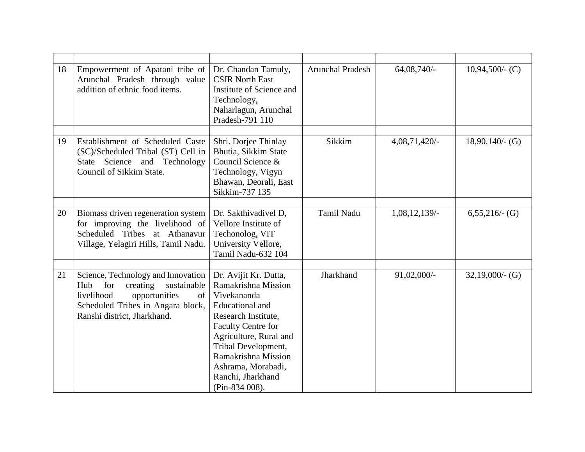| 18 | Empowerment of Apatani tribe of<br>Arunchal Pradesh through value<br>addition of ethnic food items.                                                                            | Dr. Chandan Tamuly,<br><b>CSIR North East</b><br>Institute of Science and<br>Technology,<br>Naharlagun, Arunchal<br>Pradesh-791 110                                                                                                                                               | <b>Arunchal Pradesh</b> | 64,08,740/-      | $10,94,500/$ - (C) |
|----|--------------------------------------------------------------------------------------------------------------------------------------------------------------------------------|-----------------------------------------------------------------------------------------------------------------------------------------------------------------------------------------------------------------------------------------------------------------------------------|-------------------------|------------------|--------------------|
| 19 | Establishment of Scheduled Caste<br>(SC)/Scheduled Tribal (ST) Cell in<br>Science and Technology<br>State<br>Council of Sikkim State.                                          | Shri. Dorjee Thinlay<br>Bhutia, Sikkim State<br>Council Science &<br>Technology, Vigyn<br>Bhawan, Deorali, East<br>Sikkim-737 135                                                                                                                                                 | Sikkim                  | 4,08,71,420/-    | $18,90,140/$ - (G) |
| 20 | Biomass driven regeneration system<br>for improving the livelihood of<br>Scheduled Tribes at Athanavur<br>Village, Yelagiri Hills, Tamil Nadu.                                 | Dr. Sakthivadivel D,<br>Vellore Institute of<br>Techonolog, VIT<br>University Vellore,<br>Tamil Nadu-632 104                                                                                                                                                                      | Tamil Nadu              | $1,08,12,139/$ - | $6,55,216/$ - (G)  |
| 21 | Science, Technology and Innovation<br>for<br>creating<br>sustainable<br>Hub<br>livelihood<br>opportunities<br>Scheduled Tribes in Angara block,<br>Ranshi district, Jharkhand. | Dr. Avijit Kr. Dutta,<br>Ramakrishna Mission<br>of Vivekananda<br><b>Educational</b> and<br>Research Institute,<br><b>Faculty Centre for</b><br>Agriculture, Rural and<br>Tribal Development,<br>Ramakrishna Mission<br>Ashrama, Morabadi,<br>Ranchi, Jharkhand<br>(Pin-834 008). | Jharkhand               | 91,02,000/-      | $32,19,000/$ - (G) |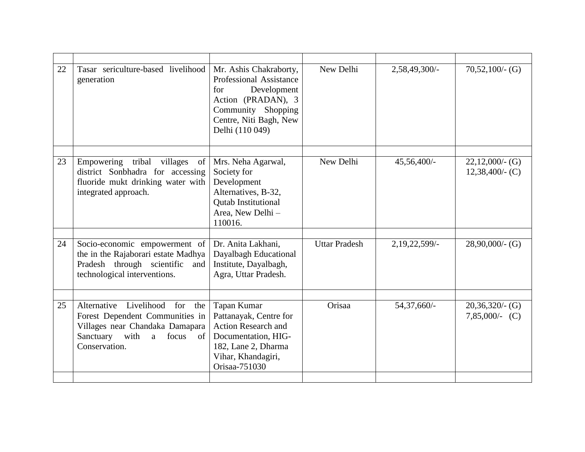| Tasar sericulture-based livelihood<br>generation                                                                             | Mr. Ashis Chakraborty,<br>Professional Assistance<br>Development<br>for<br>Action (PRADAN), 3<br>Community Shopping<br>Centre, Niti Bagh, New<br>Delhi (110 049) | New Delhi                                               | 2,58,49,300/-                               | $70,52,100/$ - (G)                             |
|------------------------------------------------------------------------------------------------------------------------------|------------------------------------------------------------------------------------------------------------------------------------------------------------------|---------------------------------------------------------|---------------------------------------------|------------------------------------------------|
|                                                                                                                              |                                                                                                                                                                  |                                                         |                                             |                                                |
| district Sonbhadra for accessing<br>fluoride mukt drinking water with<br>integrated approach.                                | Society for<br>Development<br>Alternatives, B-32,<br><b>Qutab Institutional</b><br>Area, New Delhi -<br>110016.                                                  |                                                         |                                             | $22,12,000/$ - (G)<br>$12,38,400/$ (C)         |
|                                                                                                                              |                                                                                                                                                                  |                                                         |                                             |                                                |
| the in the Rajaborari estate Madhya<br>Pradesh through scientific<br>and<br>technological interventions.                     | Dayalbagh Educational<br>Institute, Dayalbagh,<br>Agra, Uttar Pradesh.                                                                                           |                                                         |                                             | $28,90,000/$ - (G)                             |
|                                                                                                                              |                                                                                                                                                                  |                                                         |                                             |                                                |
| Forest Dependent Communities in<br>Villages near Chandaka Damapara<br>Sanctuary<br>with<br>a<br>focus<br>of<br>Conservation. | Pattanayak, Centre for<br><b>Action Research and</b><br>Documentation, HIG-<br>182, Lane 2, Dharma<br>Vihar, Khandagiri,<br>Orisaa-751030                        |                                                         |                                             | $20,36,320/$ (G)<br>$7,85,000/(-C)$            |
|                                                                                                                              | Empowering tribal<br>villages<br>of<br>Socio-economic empowerment of<br>Alternative Livelihood<br>for<br>the                                                     | Mrs. Neha Agarwal,<br>Dr. Anita Lakhani,<br>Tapan Kumar | New Delhi<br><b>Uttar Pradesh</b><br>Orisaa | 45,56,400/-<br>2, 19, 22, 599/-<br>54,37,660/- |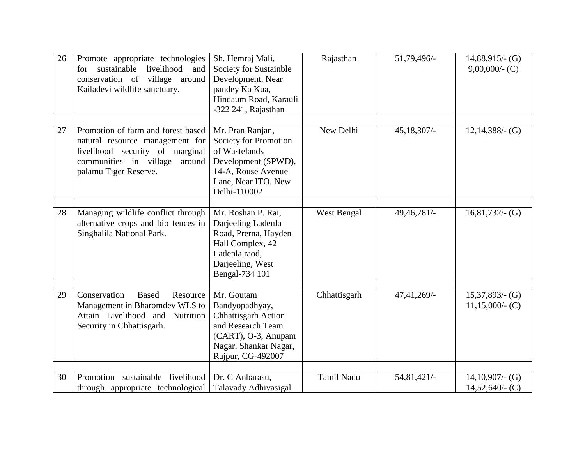| 26 | Promote appropriate technologies<br>sustainable livelihood<br>for<br>and<br>conservation of village around<br>Kailadevi wildlife sanctuary.                           | Sh. Hemraj Mali,<br>Society for Sustainble<br>Development, Near<br>pandey Ka Kua,<br>Hindaum Road, Karauli<br>-322 241, Rajasthan                    | Rajasthan    | 51,79,496/-   | $14,88,915/$ - (G)<br>$9,00,000/$ - (C)  |
|----|-----------------------------------------------------------------------------------------------------------------------------------------------------------------------|------------------------------------------------------------------------------------------------------------------------------------------------------|--------------|---------------|------------------------------------------|
| 27 | Promotion of farm and forest based<br>natural resource management for<br>livelihood security of marginal<br>communities in village<br>around<br>palamu Tiger Reserve. | Mr. Pran Ranjan,<br>Society for Promotion<br>of Wastelands<br>Development (SPWD),<br>14-A, Rouse Avenue<br>Lane, Near ITO, New<br>Delhi-110002       | New Delhi    | $45,18,307/-$ | $12,14,388/$ - (G)                       |
| 28 | Managing wildlife conflict through<br>alternative crops and bio fences in<br>Singhalila National Park.                                                                | Mr. Roshan P. Rai,<br>Darjeeling Ladenla<br>Road, Prerna, Hayden<br>Hall Complex, 42<br>Ladenla raod,<br>Darjeeling, West<br>Bengal-734 101          | West Bengal  | 49,46,781/-   | $16,81,732/$ - (G)                       |
| 29 | Conservation<br><b>Based</b><br>Resource<br>Management in Bharomdev WLS to<br>Attain Livelihood and Nutrition<br>Security in Chhattisgarh.                            | Mr. Goutam<br>Bandyopadhyay,<br><b>Chhattisgarh Action</b><br>and Research Team<br>(CART), O-3, Anupam<br>Nagar, Shankar Nagar,<br>Rajpur, CG-492007 | Chhattisgarh | $47,41,269/-$ | $15,37,893/$ - (G)<br>$11,15,000/$ - (C) |
| 30 | Promotion sustainable livelihood<br>through appropriate technological                                                                                                 | Dr. C Anbarasu,<br>Talavady Adhivasigal                                                                                                              | Tamil Nadu   | 54,81,421/-   | $14,10,907/$ - (G)<br>$14,52,640/$ - (C) |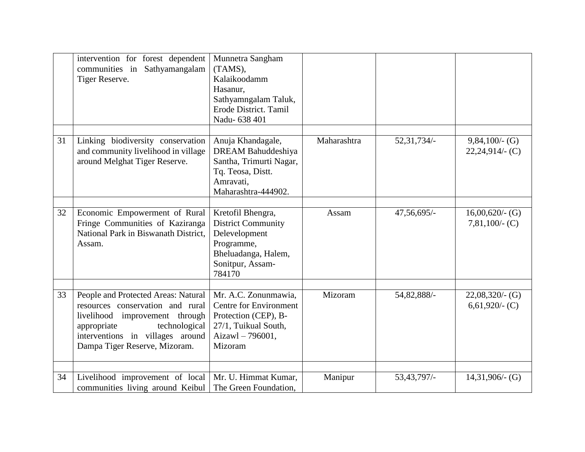|    | intervention for forest dependent<br>communities in Sathyamangalam<br>Tiger Reserve.                                                                                                                           | Munnetra Sangham<br>(TAMS),<br>Kalaikoodamm<br>Hasanur,<br>Sathyamngalam Taluk,<br>Erode District. Tamil<br>Nadu- 638 401            |             |               |                                         |
|----|----------------------------------------------------------------------------------------------------------------------------------------------------------------------------------------------------------------|--------------------------------------------------------------------------------------------------------------------------------------|-------------|---------------|-----------------------------------------|
| 31 | Linking biodiversity conservation<br>and community livelihood in village<br>around Melghat Tiger Reserve.                                                                                                      | Anuja Khandagale,<br>DREAM Bahuddeshiya<br>Santha, Trimurti Nagar,<br>Tq. Teosa, Distt.<br>Amravati,<br>Maharashtra-444902.          | Maharashtra | 52, 31, 734/- | $9,84,100/$ - (G)<br>$22,24,914/$ (C)   |
| 32 | Economic Empowerment of Rural<br>Fringe Communities of Kaziranga<br>National Park in Biswanath District,<br>Assam.                                                                                             | Kretofil Bhengra,<br><b>District Community</b><br>Delevelopment<br>Programme,<br>Bheluadanga, Halem,<br>Sonitpur, Assam-<br>784170   | Assam       | 47,56,695/-   | $16,00,620/$ - (G)<br>$7,81,100/$ - (C) |
| 33 | People and Protected Areas: Natural<br>resources conservation and rural<br>livelihood improvement through<br>appropriate<br>technological<br>interventions in villages around<br>Dampa Tiger Reserve, Mizoram. | Mr. A.C. Zonunmawia,<br><b>Centre for Environment</b><br>Protection (CEP), B-<br>27/1, Tuikual South,<br>Aizawl - 796001,<br>Mizoram | Mizoram     | 54,82,888/-   | $22,08,320/$ - (G)<br>$6,61,920/$ - (C) |
| 34 | Livelihood improvement of local<br>communities living around Keibul                                                                                                                                            | Mr. U. Himmat Kumar,<br>The Green Foundation.                                                                                        | Manipur     | 53,43,797/-   | $14,31,906/$ - (G)                      |